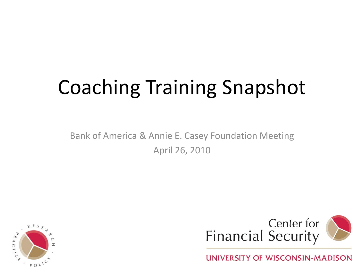# Coaching Training Snapshot

Bank of America & Annie E. Casey Foundation Meeting April 26, 2010





**UNIVERSITY OF WISCONSIN-MADISON**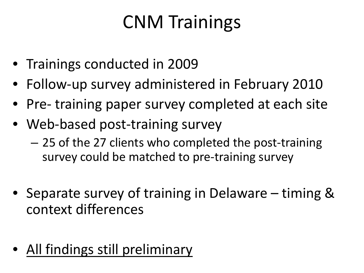## CNM Trainings

- Trainings conducted in 2009
- Follow-up survey administered in February 2010
- Pre- training paper survey completed at each site
- Web-based post-training survey
	- 25 of the 27 clients who completed the post-training survey could be matched to pre-training survey
- Separate survey of training in Delaware timing & context differences
- All findings still preliminary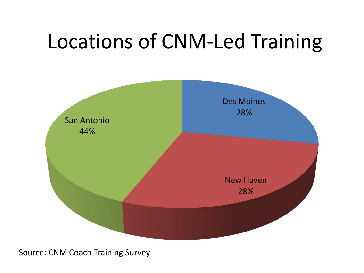# Locations of CNM-Led Training

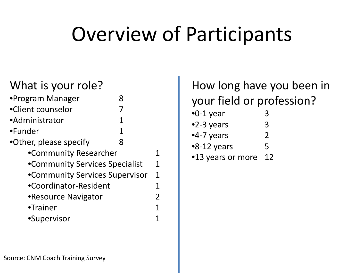# Overview of Participants

#### What is your role?

| •Program Manager               |   |   |
|--------------------------------|---|---|
| •Client counselor              |   |   |
| •Administrator                 | 1 |   |
| •Funder                        | 1 |   |
| •Other, please specify         | 8 |   |
| •Community Researcher          |   |   |
| •Community Services Specialist |   | 1 |
| •Community Services Supervisor |   | 1 |
| •Coordinator-Resident          |   |   |
| •Resource Navigator            |   | 2 |
| •Trainer                       |   |   |
| •Supervisor                    |   |   |

#### How long have you been in your field or profession?

- •0-1 year 3 •2-3 years 3 •4-7 years 2 •8-12 years 5
- •13 years or more 12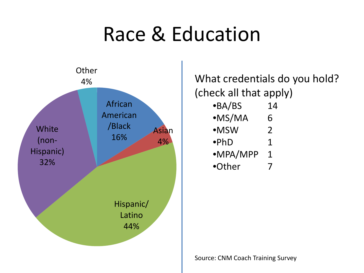# Race & Education



4% What credentials do you hold? (check all that apply) •BA/BS 14 •MS/MA 6 •MSW 2  $\bullet$ PhD 1 •MPA/MPP 1

•Other 7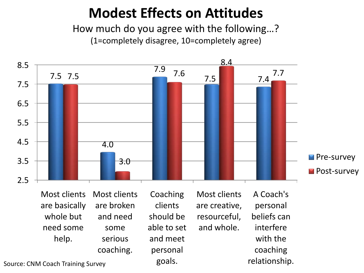### **Modest Effects on Attitudes**

How much do you agree with the following…? (1=completely disagree, 10=completely agree)



Most clients are basically whole but need some help. Most clients are broken and need some serious coaching.

Coaching clients should be able to set and meet personal goals.

Most clients are creative, resourceful, and whole.

A Coach's personal beliefs can interfere with the coaching relationship.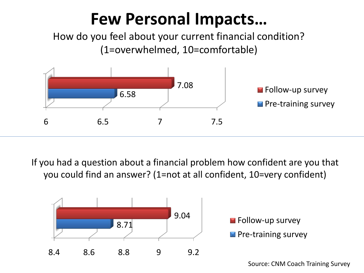### **Few Personal Impacts…**

How do you feel about your current financial condition? (1=overwhelmed, 10=comfortable)



If you had a question about a financial problem how confident are you that you could find an answer? (1=not at all confident, 10=very confident)

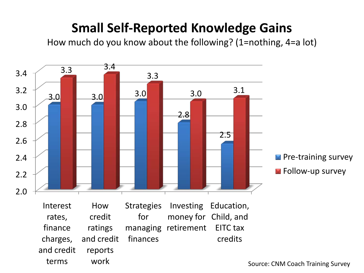### **Small Self-Reported Knowledge Gains**

How much do you know about the following? (1=nothing, 4=a lot)

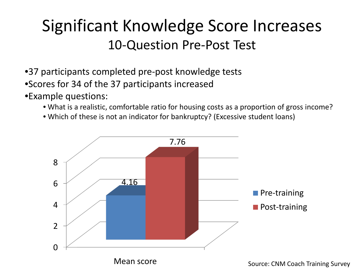### Significant Knowledge Score Increases 10-Question Pre-Post Test

- •37 participants completed pre-post knowledge tests •Scores for 34 of the 37 participants increased
- •Example questions:
	- What is a realistic, comfortable ratio for housing costs as a proportion of gross income?
	- Which of these is not an indicator for bankruptcy? (Excessive student loans)

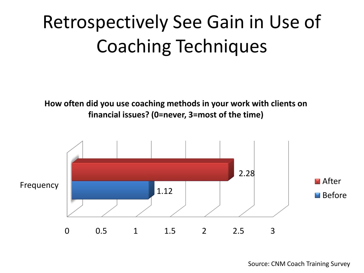## Retrospectively See Gain in Use of Coaching Techniques

**How often did you use coaching methods in your work with clients on financial issues? (0=never, 3=most of the time)**

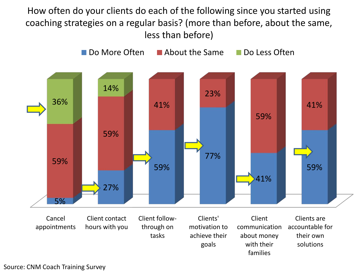How often do your clients do each of the following since you started using coaching strategies on a regular basis? (more than before, about the same, less than before)



goals

with their families

solutions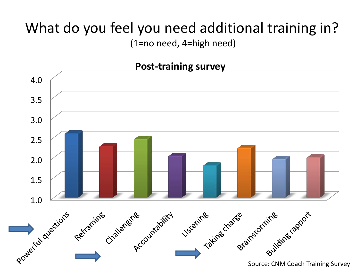## What do you feel you need additional training in?

(1=no need, 4=high need)

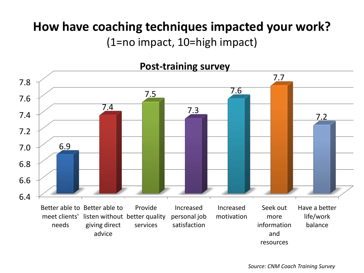#### **How have coaching techniques impacted your work?**  (1=no impact, 10=high impact)

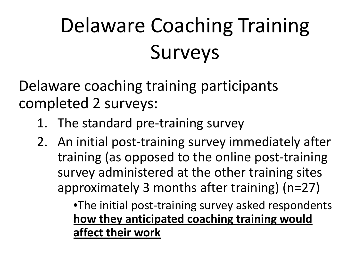# Delaware Coaching Training Surveys

Delaware coaching training participants completed 2 surveys:

- 1. The standard pre-training survey
- 2. An initial post-training survey immediately after training (as opposed to the online post-training survey administered at the other training sites approximately 3 months after training) (n=27)

•The initial post-training survey asked respondents **how they anticipated coaching training would affect their work**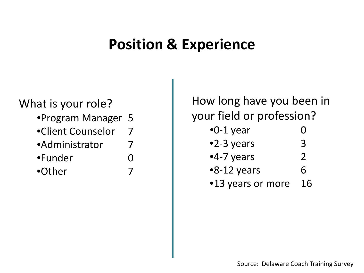### **Position & Experience**

#### What is your role?

- •Program Manager 5
- •Client Counselor 7
- •Administrator 7
- •Funder 0
- •Other 7

How long have you been in your field or profession?

- $\bullet$ 0-1 year 0 •2-3 years 3
- •4-7 years 2
- $\bullet$ 8-12 years 6 •13 years or more 16
	-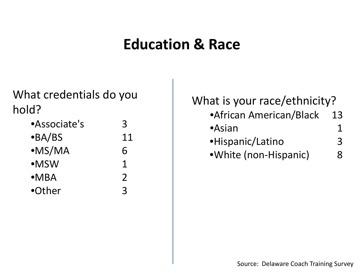### **Education & Race**

What credentials do you hold?

| 3             |
|---------------|
| 11            |
| 6             |
| 1             |
| $\mathcal{P}$ |
| $\mathbf{R}$  |
|               |

What is your race/ethnicity? •African American/Black 13  $\bullet$ Asian 1 •Hispanic/Latino 3 •White (non-Hispanic) 8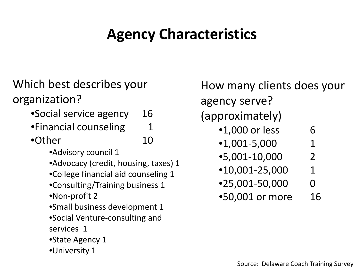### **Agency Characteristics**

Which best describes your organization?

- •Social service agency 16
- •Financial counseling 1
- •Other 10
	- •Advisory council 1
	- •Advocacy (credit, housing, taxes) 1
	- •College financial aid counseling 1
	- •Consulting/Training business 1
	- •Non-profit 2
	- •Small business development 1
	- •Social Venture-consulting and services 1
	- •State Agency 1
	- •University 1

How many clients does your agency serve? (approximately) •1,000 or less 6  $\bullet$ 1,001-5,000 1 •5,001-10,000 2  $•10,001-25,000$  1  $•25,001-50,000$  0 •50,001 or more 16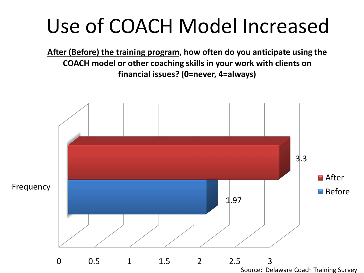# Use of COACH Model Increased

**After (Before) the training program, how often do you anticipate using the COACH model or other coaching skills in your work with clients on financial issues? (0=never, 4=always)**

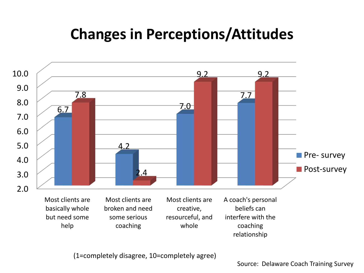### **Changes in Perceptions/Attitudes**



(1=completely disagree, 10=completely agree)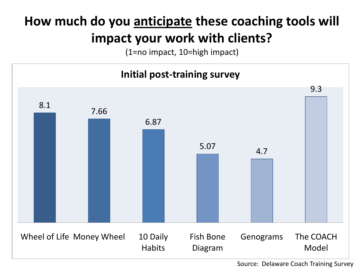### **How much do you anticipate these coaching tools will impact your work with clients?**

(1=no impact, 10=high impact)

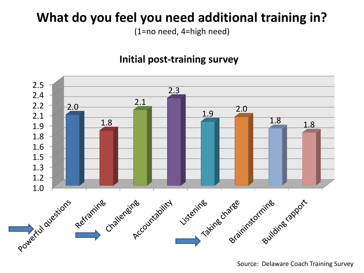### **What do you feel you need additional training in?**

(1=no need, 4=high need)

#### **Initial post-training survey**

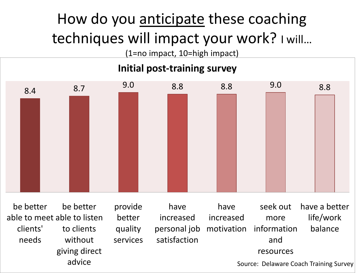## How do you anticipate these coaching techniques will impact your work? I will…

(1=no impact, 10=high impact)

#### **Initial post-training survey**

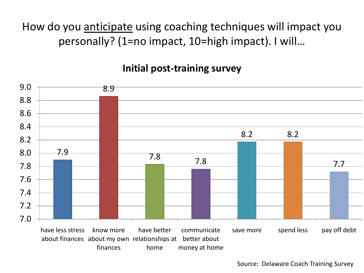How do you anticipate using coaching techniques will impact you personally? (1=no impact, 10=high impact). I will…

#### **Initial post-training survey**

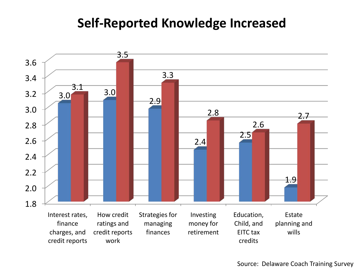#### **Self-Reported Knowledge Increased**